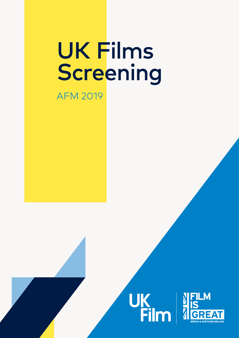## **UK Films** Screening

## **AFM 2019**